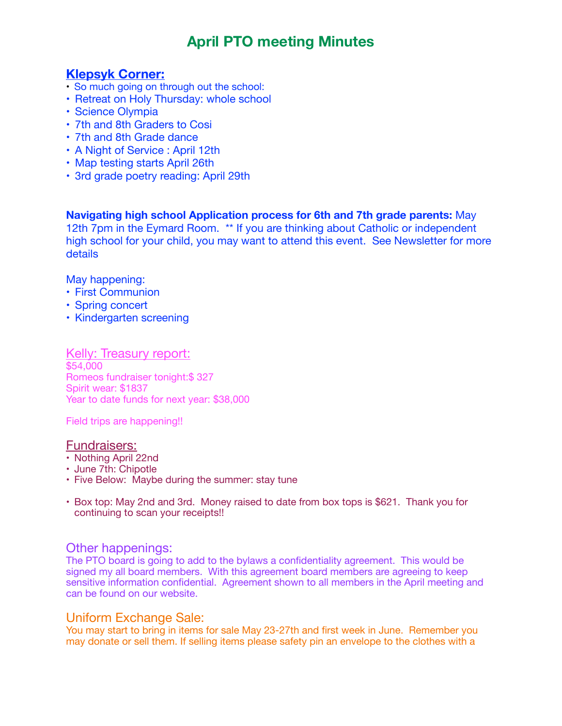# **April PTO meeting Minutes**

## **Klepsyk Corner:**

- So much going on through out the school:
- Retreat on Holy Thursday: whole school
- Science Olympia
- 7th and 8th Graders to Cosi
- 7th and 8th Grade dance
- A Night of Service : April 12th
- Map testing starts April 26th
- 3rd grade poetry reading: April 29th

**Navigating high school Application process for 6th and 7th grade parents:** May 12th 7pm in the Eymard Room. \*\* If you are thinking about Catholic or independent high school for your child, you may want to attend this event. See Newsletter for more details

May happening:

- First Communion
- Spring concert
- Kindergarten screening

Kelly: Treasury report: \$54,000 Romeos fundraiser tonight:\$ 327 Spirit wear: \$1837 Year to date funds for next year: \$38,000

Field trips are happening!!

#### Fundraisers:

- Nothing April 22nd
- June 7th: Chipotle
- Five Below: Maybe during the summer: stay tune
- Box top: May 2nd and 3rd. Money raised to date from box tops is \$621. Thank you for continuing to scan your receipts!!

#### Other happenings:

The PTO board is going to add to the bylaws a confidentiality agreement. This would be signed my all board members. With this agreement board members are agreeing to keep sensitive information confidential. Agreement shown to all members in the April meeting and can be found on our website.

#### Uniform Exchange Sale:

You may start to bring in items for sale May 23-27th and first week in June. Remember you may donate or sell them. If selling items please safety pin an envelope to the clothes with a